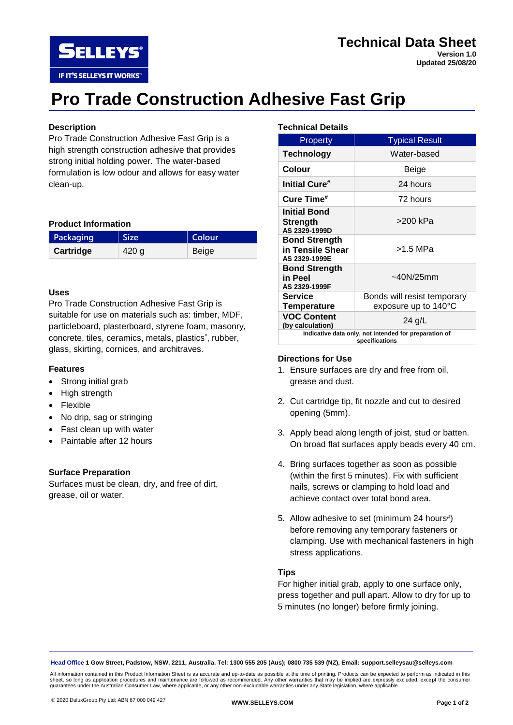

# **Technical Data Sheet Version 1.0**

**Updated 25/08/20**

# **Pro Trade Construction Adhesive Fast Grip**

# **Description**

Pro Trade Construction Adhesive Fast Grip is a high strength construction adhesive that provides strong initial holding power. The water-based formulation is low odour and allows for easy water clean-up.

# **Product Information**

| Packaging | Size  | Colour |
|-----------|-------|--------|
| Cartridge | 420 g | Beige  |

# **Uses**

Pro Trade Construction Adhesive Fast Grip is suitable for use on materials such as: timber, MDF, particleboard, plasterboard, styrene foam, masonry, concrete, tiles, ceramics, metals, plastics<sup>\*</sup>, rubber, glass, skirting, cornices, and architraves.

# **Features**

- Strong initial grab
- High strength
- Flexible
- No drip, sag or stringing
- Fast clean up with water
- Paintable after 12 hours

#### **Surface Preparation**

Surfaces must be clean, dry, and free of dirt, grease, oil or water.

#### **Technical Details**

| <b>Property</b>                                                         | <b>Typical Result</b>                               |  |
|-------------------------------------------------------------------------|-----------------------------------------------------|--|
| <b>Technology</b>                                                       | Water-based                                         |  |
| Colour                                                                  | Beige                                               |  |
| Initial Cure#                                                           | 24 hours                                            |  |
| Cure Time#                                                              | 72 hours                                            |  |
| <b>Initial Bond</b><br><b>Strength</b><br>AS 2329-1999D                 | >200 kPa                                            |  |
| <b>Bond Strength</b><br>in Tensile Shear<br>AS 2329-1999E               | >1.5 MPa                                            |  |
| <b>Bond Strength</b><br>in Peel<br>AS 2329-1999F                        | ~140N/25mm                                          |  |
| <b>Service</b><br><b>Temperature</b>                                    | Bonds will resist temporary<br>exposure up to 140°C |  |
| <b>VOC Content</b><br>(by calculation)                                  | 24 g/L                                              |  |
| Indicative data only, not intended for preparation of<br>specifications |                                                     |  |

#### **Directions for Use**

- 1. Ensure surfaces are dry and free from oil, grease and dust.
- 2. Cut cartridge tip, fit nozzle and cut to desired opening (5mm).
- 3. Apply bead along length of joist, stud or batten. On broad flat surfaces apply beads every 40 cm.
- 4. Bring surfaces together as soon as possible (within the first 5 minutes). Fix with sufficient nails, screws or clamping to hold load and achieve contact over total bond area.
- 5. Allow adhesive to set (minimum 24 hours#) before removing any temporary fasteners or clamping. Use with mechanical fasteners in high stress applications.

# **Tips**

For higher initial grab, apply to one surface only, press together and pull apart. Allow to dry for up to 5 minutes (no longer) before firmly joining.

**Head Office 1 Gow Street, Padstow, NSW, 2211, Australia. Tel: 1300 555 205 (Aus); 0800 735 539 (NZ), Email: support.selleysau@selleys.com**

All information contained in this Product Information Sheet is as accurate and up-to-date as possible at the time of printing. Products can be expected to perform as indicated in this sheet, so long as application procedures and maintenance are followed as recommended. Any other warranties that may be implied are expressly excluded, except the consumer<br>guarantees under the Australian Consumer Law, where